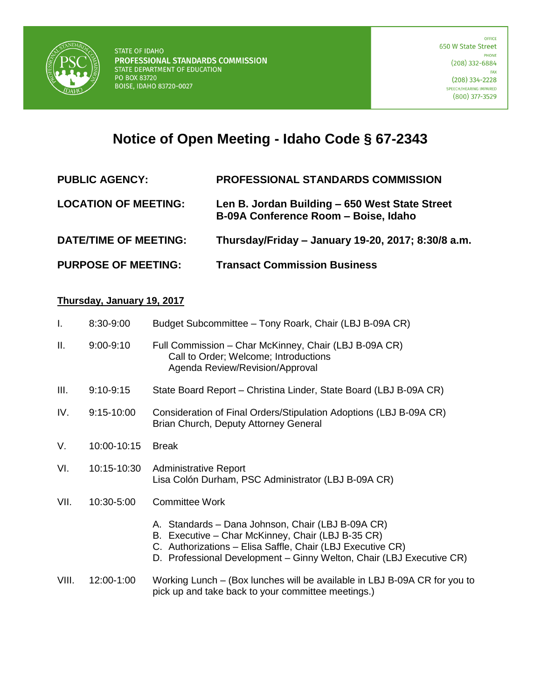

## **Notice of Open Meeting - Idaho Code § 67-2343**

| <b>PUBLIC AGENCY:</b> | <b>PROFESSIONAL STANDARDS COMMISSION</b> |
|-----------------------|------------------------------------------|
|                       |                                          |

- **LOCATION OF MEETING: Len B. Jordan Building – 650 West State Street B-09A Conference Room – Boise, Idaho**
- **DATE/TIME OF MEETING: Thursday/Friday – January 19-20, 2017; 8:30/8 a.m.**
- **PURPOSE OF MEETING: Transact Commission Business**

## **Thursday, January 19, 2017**

| $\mathbf{I}$ . | 8:30-9:00      | Budget Subcommittee - Tony Roark, Chair (LBJ B-09A CR)                                                                                                                                                                                       |
|----------------|----------------|----------------------------------------------------------------------------------------------------------------------------------------------------------------------------------------------------------------------------------------------|
| Ш.             | $9:00 - 9:10$  | Full Commission - Char McKinney, Chair (LBJ B-09A CR)<br>Call to Order; Welcome; Introductions<br>Agenda Review/Revision/Approval                                                                                                            |
| III.           | $9:10 - 9:15$  | State Board Report – Christina Linder, State Board (LBJ B-09A CR)                                                                                                                                                                            |
| IV.            | $9:15 - 10:00$ | Consideration of Final Orders/Stipulation Adoptions (LBJ B-09A CR)<br>Brian Church, Deputy Attorney General                                                                                                                                  |
| V.             | 10:00-10:15    | <b>Break</b>                                                                                                                                                                                                                                 |
| VI.            | 10:15-10:30    | <b>Administrative Report</b><br>Lisa Colón Durham, PSC Administrator (LBJ B-09A CR)                                                                                                                                                          |
| VII.           | 10:30-5:00     | <b>Committee Work</b>                                                                                                                                                                                                                        |
|                |                | A. Standards - Dana Johnson, Chair (LBJ B-09A CR)<br>B. Executive - Char McKinney, Chair (LBJ B-35 CR)<br>C. Authorizations - Elisa Saffle, Chair (LBJ Executive CR)<br>D. Professional Development - Ginny Welton, Chair (LBJ Executive CR) |
| VIII.          | 12:00-1:00     | Working Lunch – (Box lunches will be available in LBJ B-09A CR for you to<br>pick up and take back to your committee meetings.)                                                                                                              |